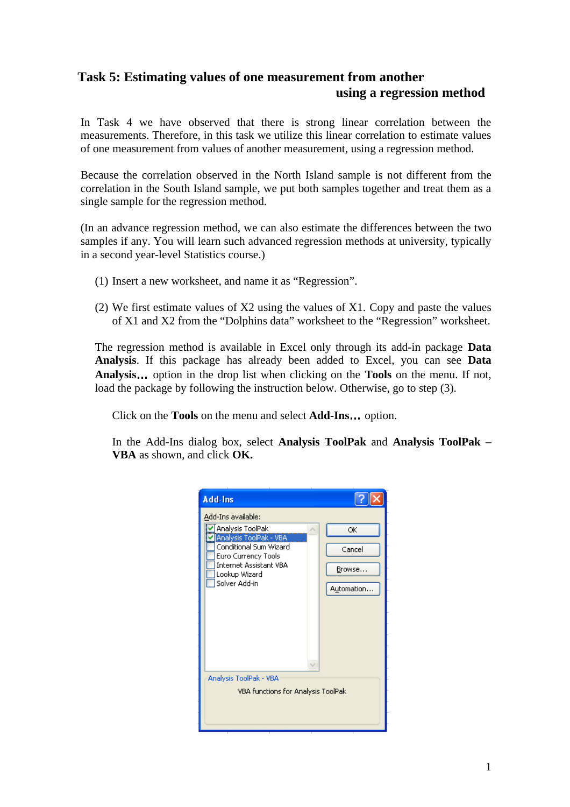## **Task 5: Estimating values of one measurement from another using a regression method**

In Task 4 we have observed that there is strong linear correlation between the measurements. Therefore, in this task we utilize this linear correlation to estimate values of one measurement from values of another measurement, using a regression method.

Because the correlation observed in the North Island sample is not different from the correlation in the South Island sample, we put both samples together and treat them as a single sample for the regression method.

(In an advance regression method, we can also estimate the differences between the two samples if any. You will learn such advanced regression methods at university, typically in a second year-level Statistics course.)

- (1) Insert a new worksheet, and name it as "Regression".
- (2) We first estimate values of X2 using the values of X1. Copy and paste the values of X1 and X2 from the "Dolphins data" worksheet to the "Regression" worksheet.

The regression method is available in Excel only through its add-in package **Data Analysis**. If this package has already been added to Excel, you can see **Data Analysis**… option in the drop list when clicking on the **Tools** on the menu. If not, load the package by following the instruction below. Otherwise, go to step (3).

Click on the **Tools** on the menu and select **Add-Ins**… option.

In the Add-Ins dialog box, select **Analysis ToolPak** and **Analysis ToolPak – VBA** as shown, and click **OK.**

| Add-Ins                                                                                                                                                                                                                                                |                                      |
|--------------------------------------------------------------------------------------------------------------------------------------------------------------------------------------------------------------------------------------------------------|--------------------------------------|
| Add-Ins available:<br>Analysis ToolPak<br> Analysis ToolPak - VBA <br>Conditional Sum Wizard<br>Euro Currency Tools<br><b>Internet Assistant VBA</b><br>Lookup Wizard<br>Solver Add-in<br>Analysis ToolPak - VBA<br>VBA functions for Analysis ToolPak | OK<br>Cancel<br>Browse<br>Automation |
|                                                                                                                                                                                                                                                        |                                      |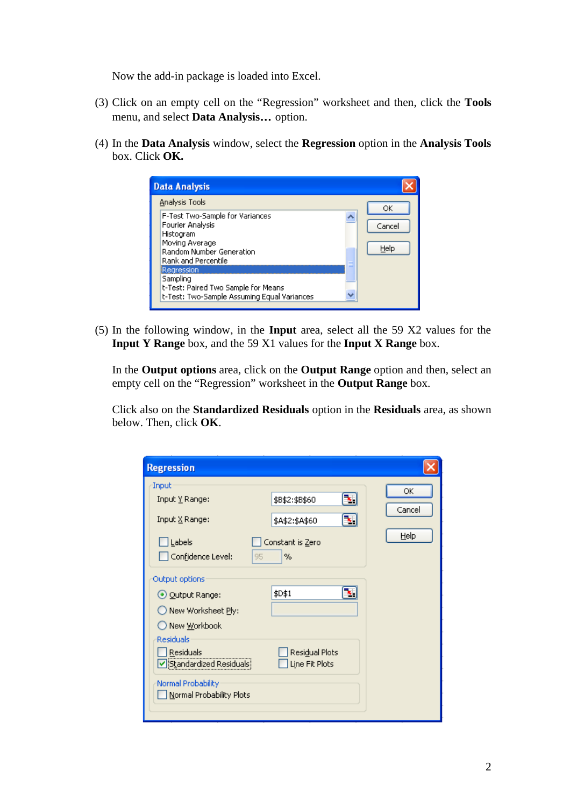Now the add-in package is loaded into Excel.

- (3) Click on an empty cell on the "Regression" worksheet and then, click the **Tools** menu, and select **Data Analysis**… option.
- (4) In the **Data Analysis** window, select the **Regression** option in the **Analysis Tools** box. Click **OK.**

| <b>Data Analysis</b>                                                                                                                  |                |
|---------------------------------------------------------------------------------------------------------------------------------------|----------------|
| Analysis Tools                                                                                                                        | ОК             |
| F-Test Two-Sample for Variances<br>Fourier Analysis<br>Histogram<br>Moving Average<br>Random Number Generation<br>Rank and Percentile | Cancel<br>Help |
| Regression<br>Sampling<br>t-Test: Paired Two Sample for Means<br>t-Test: Two-Sample Assuming Equal Variances                          |                |

(5) In the following window, in the **Input** area, select all the 59 X2 values for the **Input Y Range** box, and the 59 X1 values for the **Input X Range** box.

In the **Output options** area, click on the **Output Range** option and then, select an empty cell on the "Regression" worksheet in the **Output Range** box.

Click also on the **Standardized Residuals** option in the **Residuals** area, as shown below. Then, click **OK**.

| <b>Regression</b>                                                                                                                                                                     |                                                                       |                      |
|---------------------------------------------------------------------------------------------------------------------------------------------------------------------------------------|-----------------------------------------------------------------------|----------------------|
| Input<br>Input Y Range:<br>Input X Range:<br>Labels<br>Confidence Level:<br>95                                                                                                        | ъ,<br>\$B\$2:\$B\$60<br>B.<br>\$A\$2:\$A\$60<br>Constant is Zero<br>% | ОК<br>Cancel<br>Help |
| Output options<br>⊙ Output Range:<br>New Worksheet Ply:<br>New <u>W</u> orkbook<br>Residuals<br>Residuals<br>Standardized Residuals<br>Normal Probability<br>Normal Probability Plots | ٦.<br>\$D\$1<br>Residual Plots<br>Line Fit Plots                      |                      |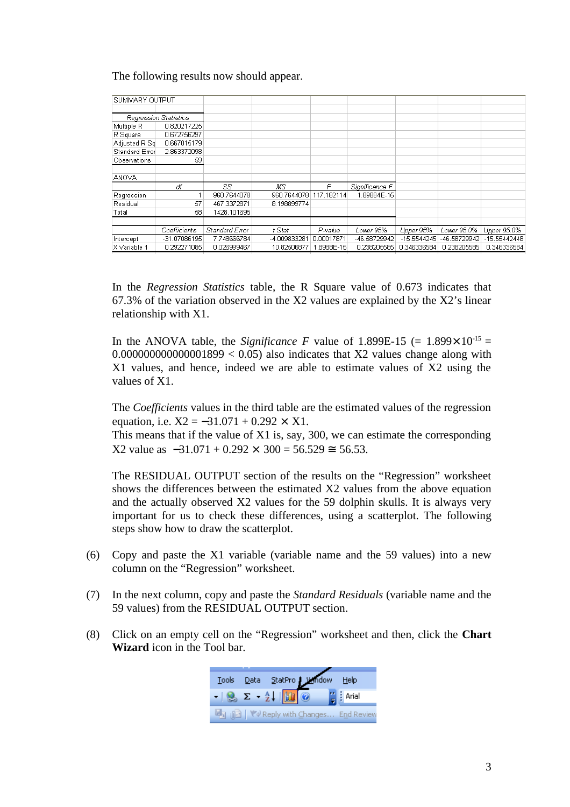The following results now should appear.

| SUMMARY OUTPUT |                              |                |              |            |                |               |              |              |
|----------------|------------------------------|----------------|--------------|------------|----------------|---------------|--------------|--------------|
|                |                              |                |              |            |                |               |              |              |
|                | <b>Regression Statistics</b> |                |              |            |                |               |              |              |
| Multiple R     | 0.820217225                  |                |              |            |                |               |              |              |
| R Square       | 0.672756297                  |                |              |            |                |               |              |              |
| Adjusted R Sq  | 0.667015179                  |                |              |            |                |               |              |              |
| Standard Error | 2.863372098                  |                |              |            |                |               |              |              |
| Observations   | -59                          |                |              |            |                |               |              |              |
|                |                              |                |              |            |                |               |              |              |
| <b>ANOVA</b>   |                              |                |              |            |                |               |              |              |
|                | ďf                           | SS             | MS           | F          | Significance F |               |              |              |
| Regression     |                              | 960.7644078    | 960.7644078  | 117.182114 | 1.89884E-15    |               |              |              |
| Residual       | 57                           | 467.3372871    | 8.198899774  |            |                |               |              |              |
| Total          | 58                           | 1428.101695    |              |            |                |               |              |              |
|                |                              |                |              |            |                |               |              |              |
|                | Coefficients                 | Standard Error | t Stat       | P-value    | Lower 95%      | Upper 95%     | Lower 95.0%  | Upper 95.0%  |
| Intercept      | -31.07086195                 | 7.748666784    | -4.009833281 | 0.00017871 | -46.58729942   | $-15.5544245$ | -46.58729942 | -15.55442448 |
| X Variable 1   | 0.292271085                  | 0.026999467    | 10.82506877  | 1.8988E-15 | 0.238205585    | 0.346336584   | 0.238205585  | 0.346336584  |

In the *Regression Statistics* table, the R Square value of 0.673 indicates that 67.3% of the variation observed in the X2 values are explained by the X2's linear relationship with X1.

In the ANOVA table, the *Significance F* value of 1.899E-15 (=  $1.899 \times 10^{-15}$  =  $0.000000000000001899 < 0.05$  also indicates that X2 values change along with X1 values, and hence, indeed we are able to estimate values of X2 using the values of X1.

The *Coefficients* values in the third table are the estimated values of the regression equation, i.e.  $X2 = -31.071 + 0.292 \times X1$ .

This means that if the value of X1 is, say, 300, we can estimate the corresponding  $X2$  value as  $-31.071 + 0.292 \times 300 = 56.529 = 56.53$ .

The RESIDUAL OUTPUT section of the results on the "Regression" worksheet shows the differences between the estimated X2 values from the above equation and the actually observed X2 values for the 59 dolphin skulls. It is always very important for us to check these differences, using a scatterplot. The following steps show how to draw the scatterplot.

- (6) Copy and paste the X1 variable (variable name and the 59 values) into a new column on the "Regression" worksheet.
- (7) In the next column, copy and paste the *Standard Residuals* (variable name and the 59 values) from the RESIDUAL OUTPUT section.
- (8) Click on an empty cell on the "Regression" worksheet and then, click the **Chart Wizard** icon in the Tool bar.

| Tools |  | Data StatPro Mindow Help                                                                                                                                                                                                                                                                                              |                                       |
|-------|--|-----------------------------------------------------------------------------------------------------------------------------------------------------------------------------------------------------------------------------------------------------------------------------------------------------------------------|---------------------------------------|
|       |  | $ \frac{1}{2}$ $\sum -\frac{A}{2}$ $\frac{1}{2}$ $\frac{1}{2}$ $\frac{1}{2}$ $\frac{1}{2}$ $\frac{1}{2}$ $\frac{1}{2}$ $\frac{1}{2}$ $\frac{1}{2}$ $\frac{1}{2}$ $\frac{1}{2}$ $\frac{1}{2}$ $\frac{1}{2}$ $\frac{1}{2}$ $\frac{1}{2}$ $\frac{1}{2}$ $\frac{1}{2}$ $\frac{1}{2}$ $\frac{1}{2}$ $\frac{1}{2}$ $\frac{$ |                                       |
|       |  |                                                                                                                                                                                                                                                                                                                       | ■ A A VVReply with Changes End Review |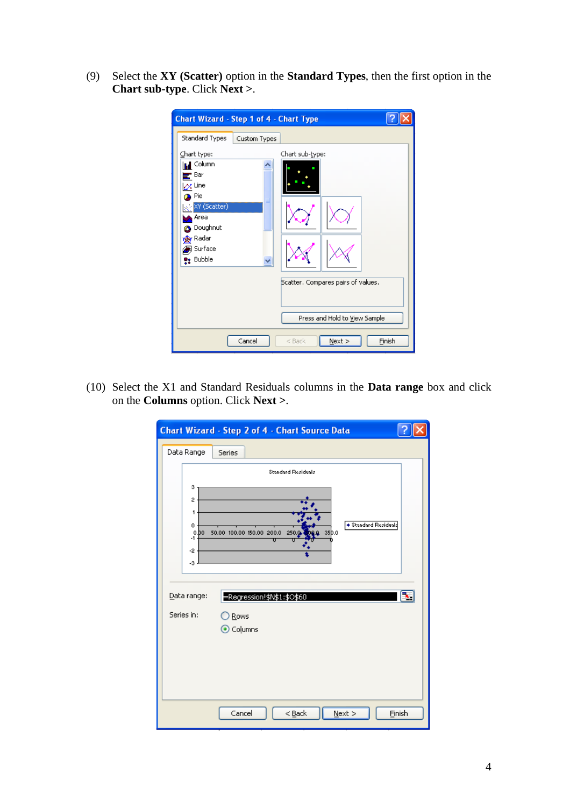(9) Select the **XY (Scatter)** option in the **Standard Types**, then the first option in the **Chart sub-type**. Click **Next >**.

| <b>Chart Wizard - Step 1 of 4 - Chart Type</b>                                                                                                                                                     |              |                                                                                         |        |
|----------------------------------------------------------------------------------------------------------------------------------------------------------------------------------------------------|--------------|-----------------------------------------------------------------------------------------|--------|
| Standard Types<br>Chart type:<br>  <mark>⊪</mark> Column<br>₹ Bar<br>$\alpha$ Line<br><b>D</b> Pie<br>XY (Scatter)<br>Area<br><b>B</b> Doughnut<br><b>o</b> Radar<br><b>B</b> Surface<br>e: Bubble | Custom Types | Chart sub-type:                                                                         |        |
|                                                                                                                                                                                                    | Cancel       | Scatter. Compares pairs of values.<br>Press and Hold to View Sample<br>Next<br>$<$ Back | Finish |

(10) Select the X1 and Standard Residuals columns in the **Data range** box and click on the **Columns** option. Click **Next >**.

|                                              | <b>Chart Wizard - Step 2 of 4 - Chart Source Data</b>                                                        |  |
|----------------------------------------------|--------------------------------------------------------------------------------------------------------------|--|
| Data Range                                   | Series                                                                                                       |  |
| 3<br>2<br>1<br>0<br>$.1^{0.00}_{+1.1}$<br>-2 | <b>Standard Residuals</b><br>◆ Standard Residuals<br>50.00 100.00 150.00 200.0<br>250.0<br>35 <sub>D.O</sub> |  |
| $-3$ .<br>Data range:<br>Series in:          | =Regression!\$N\$1:\$O\$60<br>$\bigcirc$ Rows<br>⊙ Columns                                                   |  |
|                                              | Cancel<br>$N$ ext ><br>$Eack$<br>Einish                                                                      |  |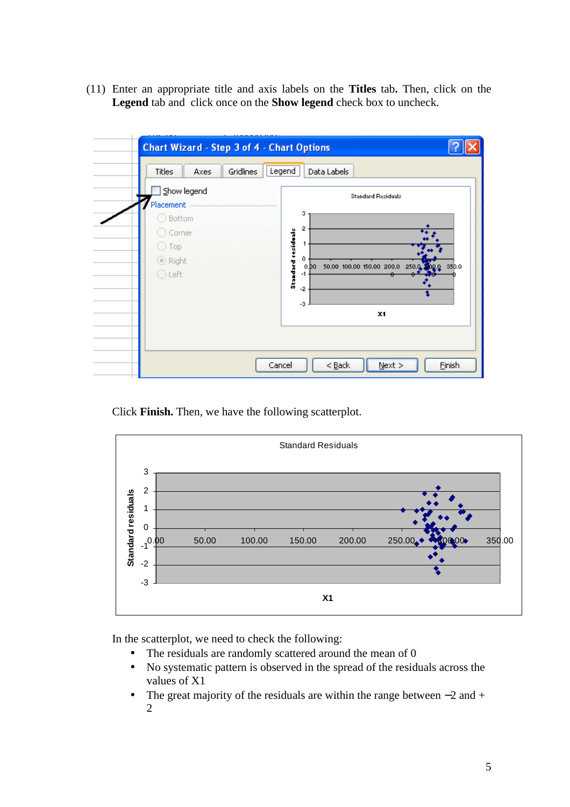(11) Enter an appropriate title and axis labels on the **Titles** tab**.** Then, click on the **Legend** tab and click once on the **Show legend** check box to uncheck.



Click **Finish.** Then, we have the following scatterplot.



In the scatterplot, we need to check the following:

- The residuals are randomly scattered around the mean of 0
- No systematic pattern is observed in the spread of the residuals across the values of X1
- The great majority of the residuals are within the range between –2 and + 2